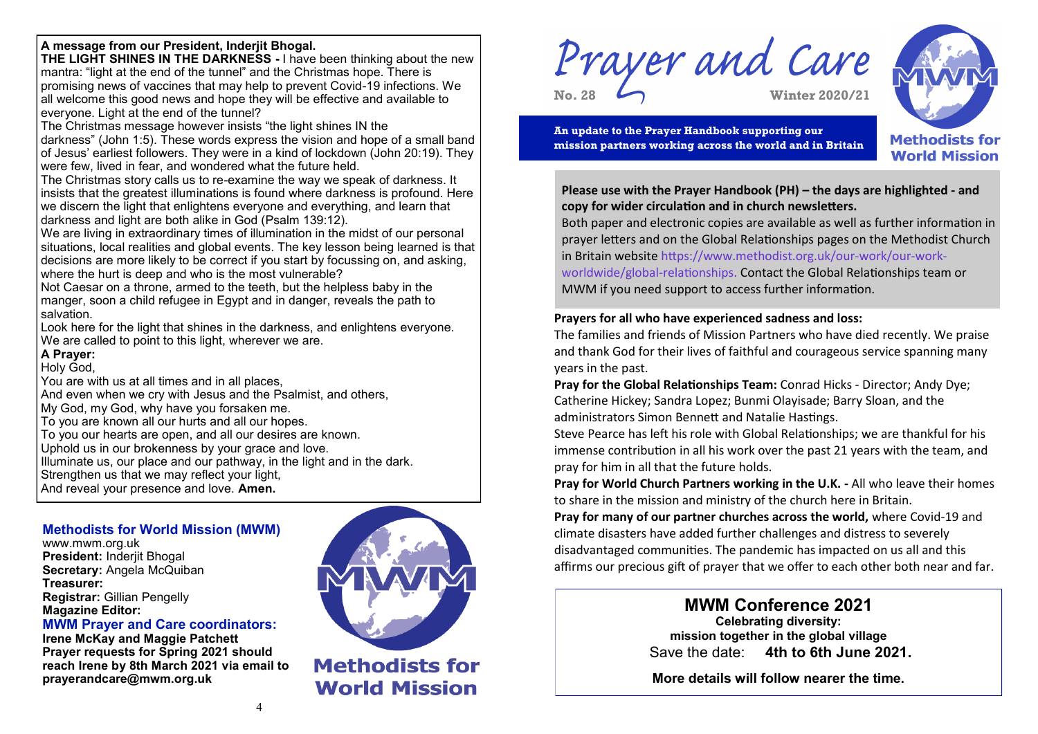# **A message from our President, Inderjit Bhogal.**

**THE LIGHT SHINES IN THE DARKNESS -** I have been thinking about the new mantra: "light at the end of the tunnel" and the Christmas hope. There is promising news of vaccines that may help to prevent Covid-19 infections. We all welcome this good news and hope they will be effective and available to everyone. Light at the end of the tunnel?

The Christmas message however insists "the light shines IN the

darkness" (John 1:5). These words express the vision and hope of a small band of Jesus' earliest followers. They were in a kind of lockdown (John 20:19). They were few, lived in fear, and wondered what the future held.

The Christmas story calls us to re-examine the way we speak of darkness. It insists that the greatest illuminations is found where darkness is profound. Here we discern the light that enlightens everyone and everything, and learn that darkness and light are both alike in God (Psalm 139:12).

We are living in extraordinary times of illumination in the midst of our personal situations, local realities and global events. The key lesson being learned is that decisions are more likely to be correct if you start by focussing on, and asking, where the hurt is deep and who is the most vulnerable?

Not Caesar on a throne, armed to the teeth, but the helpless baby in the manger, soon a child refugee in Egypt and in danger, reveals the path to salvation.

Look here for the light that shines in the darkness, and enlightens everyone. We are called to point to this light, wherever we are.

## **A Prayer:**

Holy God,

You are with us at all times and in all places, And even when we cry with Jesus and the Psalmist, and others, My God, my God, why have you forsaken me. To you are known all our hurts and all our hopes. To you our hearts are open, and all our desires are known. Uphold us in our brokenness by your grace and love. Illuminate us, our place and our pathway, in the light and in the dark. Strengthen us that we may reflect your light,

And reveal your presence and love. **Amen.** 

## **Methodists for World Mission (MWM)**

www.mwm.org.uk **President:** Inderjit Bhogal **Secretary:** Angela McQuiban **Treasurer: Registrar:** Gillian Pengelly **Magazine Editor:**

**MWM Prayer and Care coordinators:** 

**Irene McKay and Maggie Patchett Prayer requests for Spring 2021 should reach Irene by 8th March 2021 via email to prayerandcare@mwm.org.uk** 



**Methodists for World Mission** 

Prayer and Care **No. 28 Winter 2020/21**



**An update to the Prayer Handbook supporting our mission partners working across the world and in Britain**



**Please use with the Prayer Handbook (PH) – the days are highlighted - and copy for wider circulation and in church newsletters.** 

Both paper and electronic copies are available as well as further information in prayer letters and on the Global Relationships pages on the Methodist Church in Britain website https://www.methodist.org.uk/our-work/our-workworldwide/global-relationships. Contact the Global Relationships team or MWM if you need support to access further information.

## **Prayers for all who have experienced sadness and loss:**

The families and friends of Mission Partners who have died recently. We praise and thank God for their lives of faithful and courageous service spanning many years in the past.

**Pray for the Global Relationships Team:** Conrad Hicks - Director; Andy Dye; Catherine Hickey; Sandra Lopez; Bunmi Olayisade; Barry Sloan, and the administrators Simon Bennett and Natalie Hastings.

Steve Pearce has left his role with Global Relationships; we are thankful for his immense contribution in all his work over the past 21 years with the team, and pray for him in all that the future holds.

**Pray for World Church Partners working in the U.K. -** All who leave their homes to share in the mission and ministry of the church here in Britain.

**Pray for many of our partner churches across the world,** where Covid-19 and climate disasters have added further challenges and distress to severely disadvantaged communities. The pandemic has impacted on us all and this affirms our precious gift of prayer that we offer to each other both near and far.

> **MWM Conference 2021 Celebrating diversity: mission together in the global village** Save the date: **4th to 6th June 2021.**

**More details will follow nearer the time.**